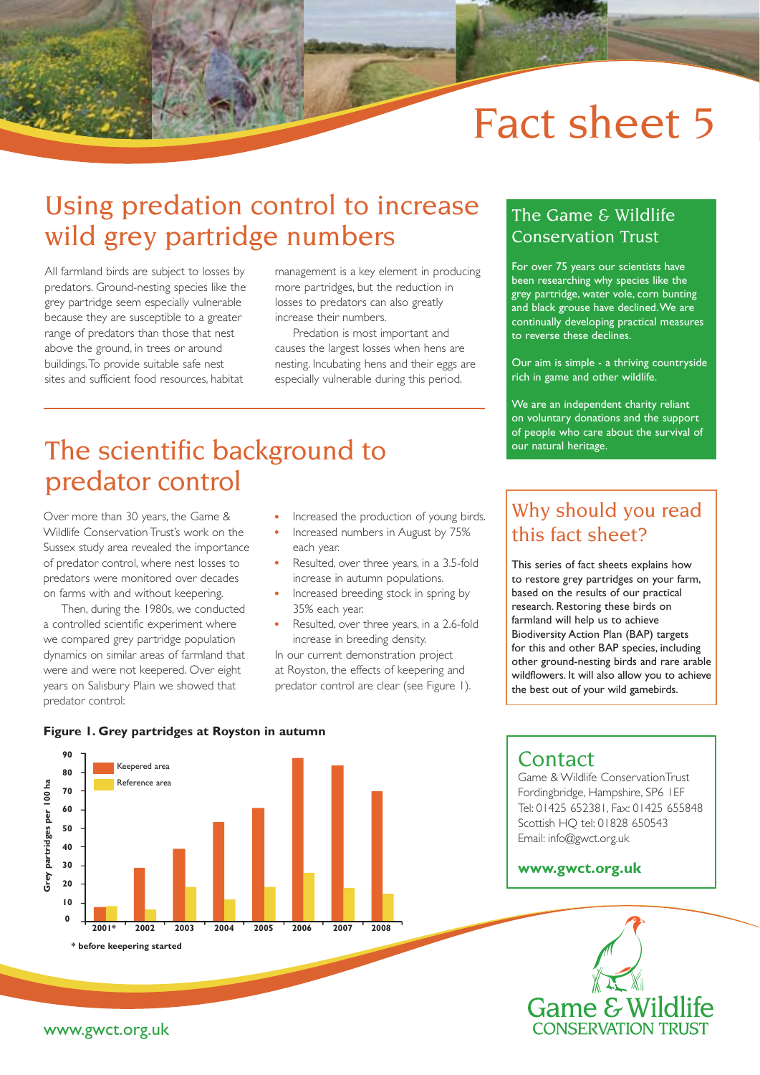# Fact sheet 5

# Using predation control to increase wild grey partridge numbers

All farmland birds are subject to losses by predators. Ground-nesting species like the grey partridge seem especially vulnerable because they are susceptible to a greater range of predators than those that nest above the ground, in trees or around buildings. To provide suitable safe nest sites and sufficient food resources, habitat

management is a key element in producing more partridges, but the reduction in losses to predators can also greatly increase their numbers.

Predation is most important and causes the largest losses when hens are nesting. Incubating hens and their eggs are especially vulnerable during this period.

## The scientific background to predator control

Over more than 30 years, the Game & Wildlife Conservation Trust's work on the Sussex study area revealed the importance of predator control, where nest losses to predators were monitored over decades on farms with and without keepering.

Then, during the 1980s, we conducted a controlled scientific experiment where we compared grey partridge population dynamics on similar areas of farmland that were and were not keepered. Over eight years on Salisbury Plain we showed that predator control:

- Increased the production of young birds.
- Increased numbers in August by 75% each year.
- Resulted, over three years, in a 3.5-fold increase in autumn populations.
- Increased breeding stock in spring by 35% each year.
- Resulted, over three years, in a 2.6-fold increase in breeding density.

In our current demonstration project at Royston, the effects of keepering and predator control are clear (see Figure 1).

### The Game & Wildlife Conservation Trust

For over 75 years our scientists have been researching why species like the grey partridge, water vole, corn bunting and black grouse have declined. We are continually developing practical measures to reverse these declines.

Our aim is simple - a thriving countryside rich in game and other wildlife.

We are an independent charity reliant on voluntary donations and the support of people who care about the survival of our natural heritage.

### Why should you read this fact sheet?

This series of fact sheets explains how to restore grey partridges on your farm, based on the results of our practical research. Restoring these birds on farmland will help us to achieve Biodiversity Action Plan (BAP) targets for this and other BAP species, including other ground-nesting birds and rare arable wildflowers. It will also allow you to achieve the best out of your wild gamebirds.



### **Contact**

Game & Wildlife ConservationTrust Fordingbridge, Hampshire, SP6 1EF Tel: 01425 652381, Fax: 01425 655848 Scottish HQ tel: 01828 650543 Email: info@gwct.org.uk

#### **www.gwct.org.uk**



#### www.gwct.org.uk